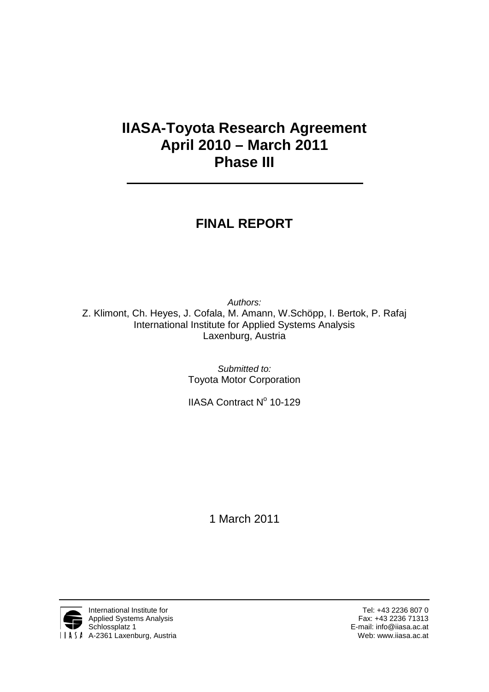# **IIASA-Toyota Research Agreement April 2010 – March 2011 Phase III**

# **FINAL REPORT**

*Authors:* Z. Klimont, Ch. Heyes, J. Cofala, M. Amann, W.Schöpp, I. Bertok, P. Rafaj International Institute for Applied Systems Analysis Laxenburg, Austria

> *Submitted to:* Toyota Motor Corporation

> IIASA Contract  $N^{\circ}$  10-129

1 March 2011

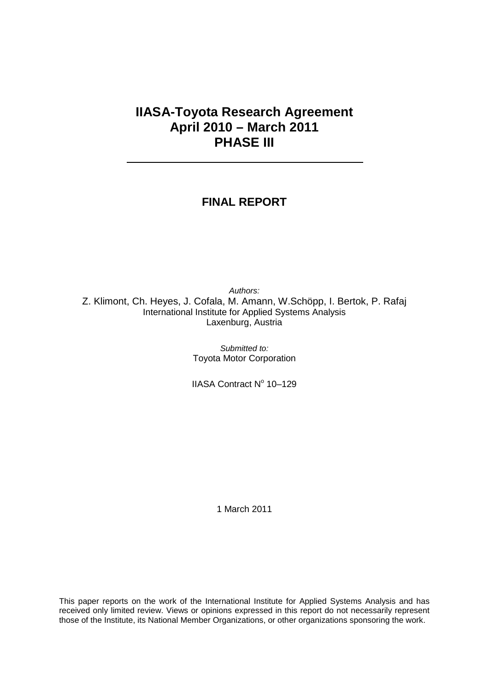### **IIASA-Toyota Research Agreement April 2010 – March 2011 PHASE III**

### **FINAL REPORT**

*Authors:* Z. Klimont, Ch. Heyes, J. Cofala, M. Amann, W.Schöpp, I. Bertok, P. Rafaj International Institute for Applied Systems Analysis Laxenburg, Austria

> *Submitted to:* Toyota Motor Corporation

> IIASA Contract Nº 10-129

1 March 2011

This paper reports on the work of the International Institute for Applied Systems Analysis and has received only limited review. Views or opinions expressed in this report do not necessarily represent those of the Institute, its National Member Organizations, or other organizations sponsoring the work.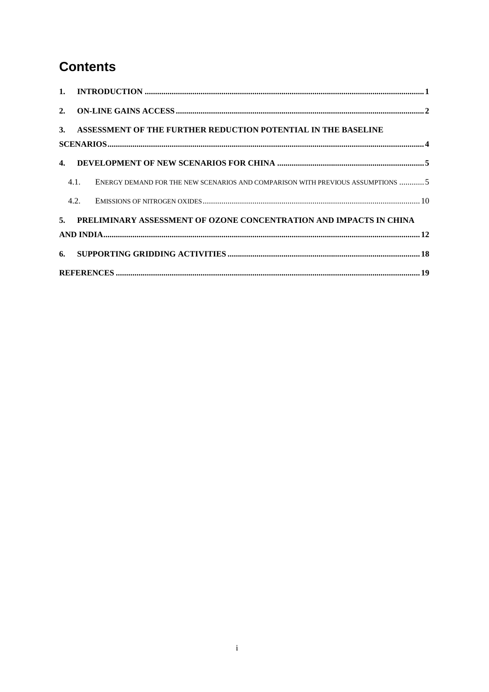## **Contents**

|      | 3. ASSESSMENT OF THE FURTHER REDUCTION POTENTIAL IN THE BASELINE               |
|------|--------------------------------------------------------------------------------|
|      |                                                                                |
|      |                                                                                |
| 4.1. | ENERGY DEMAND FOR THE NEW SCENARIOS AND COMPARISON WITH PREVIOUS ASSUMPTIONS 5 |
| 4.2. |                                                                                |
|      | 5. PRELIMINARY ASSESSMENT OF OZONE CONCENTRATION AND IMPACTS IN CHINA          |
|      |                                                                                |
|      |                                                                                |
|      |                                                                                |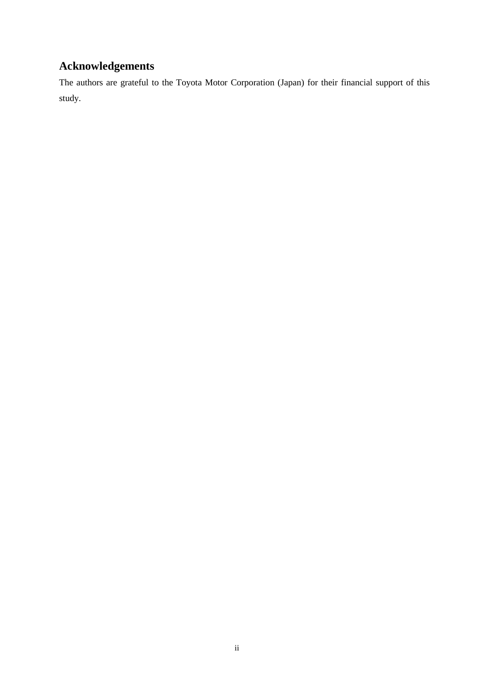## **Acknowledgements**

The authors are grateful to the Toyota Motor Corporation (Japan) for their financial support of this study.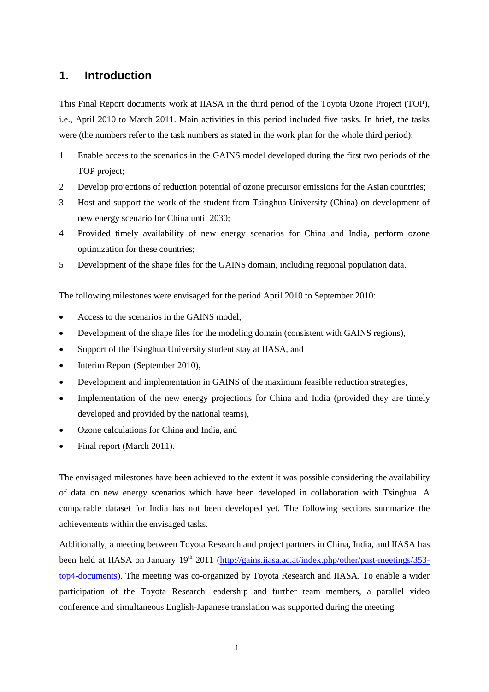### <span id="page-4-0"></span>**1. Introduction**

This Final Report documents work at IIASA in the third period of the Toyota Ozone Project (TOP), i.e., April 2010 to March 2011. Main activities in this period included five tasks. In brief, the tasks were (the numbers refer to the task numbers as stated in the work plan for the whole third period):

- 1 Enable access to the scenarios in the GAINS model developed during the first two periods of the TOP project;
- 2 Develop projections of reduction potential of ozone precursor emissions for the Asian countries;
- 3 Host and support the work of the student from Tsinghua University (China) on development of new energy scenario for China until 2030;
- 4 Provided timely availability of new energy scenarios for China and India, perform ozone optimization for these countries;
- 5 Development of the shape files for the GAINS domain, including regional population data.

The following milestones were envisaged for the period April 2010 to September 2010:

- Access to the scenarios in the GAINS model,
- Development of the shape files for the modeling domain (consistent with GAINS regions),
- Support of the Tsinghua University student stay at IIASA, and
- Interim Report (September 2010),
- Development and implementation in GAINS of the maximum feasible reduction strategies,
- Implementation of the new energy projections for China and India (provided they are timely developed and provided by the national teams),
- Ozone calculations for China and India, and
- Final report (March 2011).

The envisaged milestones have been achieved to the extent it was possible considering the availability of data on new energy scenarios which have been developed in collaboration with Tsinghua. A comparable dataset for India has not been developed yet. The following sections summarize the achievements within the envisaged tasks.

Additionally, a meeting between Toyota Research and project partners in China, India, and IIASA has been held at IIASA on January 19<sup>th</sup> 2011 [\(http://gains.iiasa.ac.at/index.php/other/past-meetings/353](http://gains.iiasa.ac.at/index.php/other/past-meetings/353-top4-documents) [top4-documents\)](http://gains.iiasa.ac.at/index.php/other/past-meetings/353-top4-documents). The meeting was co-organized by Toyota Research and IIASA. To enable a wider participation of the Toyota Research leadership and further team members, a parallel video conference and simultaneous English-Japanese translation was supported during the meeting.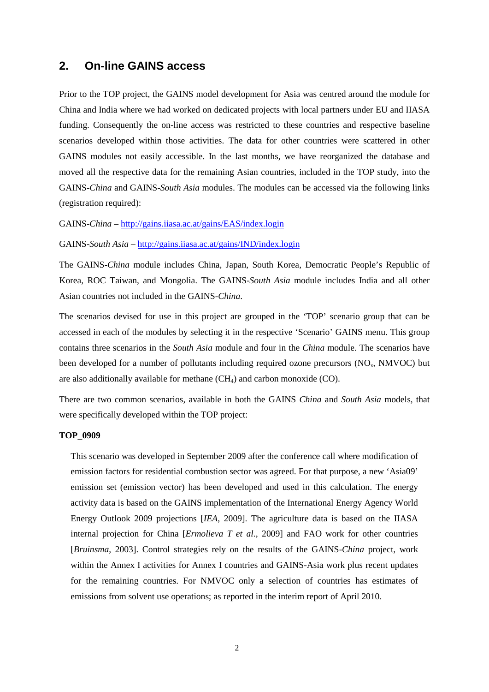### <span id="page-5-0"></span>**2. On-line GAINS access**

Prior to the TOP project, the GAINS model development for Asia was centred around the module for China and India where we had worked on dedicated projects with local partners under EU and IIASA funding. Consequently the on-line access was restricted to these countries and respective baseline scenarios developed within those activities. The data for other countries were scattered in other GAINS modules not easily accessible. In the last months, we have reorganized the database and moved all the respective data for the remaining Asian countries, included in the TOP study, into the GAINS-*China* and GAINS-*South Asia* modules. The modules can be accessed via the following links (registration required):

GAINS-*China* – <http://gains.iiasa.ac.at/gains/EAS/index.login>

GAINS-*South Asia* – <http://gains.iiasa.ac.at/gains/IND/index.login>

The GAINS-*China* module includes China, Japan, South Korea, Democratic People's Republic of Korea, ROC Taiwan, and Mongolia. The GAINS-*South Asia* module includes India and all other Asian countries not included in the GAINS-*China*.

The scenarios devised for use in this project are grouped in the 'TOP' scenario group that can be accessed in each of the modules by selecting it in the respective 'Scenario' GAINS menu. This group contains three scenarios in the *South Asia* module and four in the *China* module. The scenarios have been developed for a number of pollutants including required ozone precursors (NO<sub>x</sub>, NMVOC) but are also additionally available for methane  $(CH_4)$  and carbon monoxide  $(CO)$ .

There are two common scenarios, available in both the GAINS *China* and *South Asia* models, that were specifically developed within the TOP project:

#### **TOP\_0909**

This scenario was developed in September 2009 after the conference call where modification of emission factors for residential combustion sector was agreed. For that purpose, a new 'Asia09' emission set (emission vector) has been developed and used in this calculation. The energy activity data is based on the GAINS implementation of the International Energy Agency World Energy Outlook 2009 projections [*IEA*, 2009]. The agriculture data is based on the IIASA internal projection for China [*Ermolieva T et al.*, 2009] and FAO work for other countries [*Bruinsma*, 2003]. Control strategies rely on the results of the GAINS-*China* project, work within the Annex I activities for Annex I countries and GAINS-Asia work plus recent updates for the remaining countries. For NMVOC only a selection of countries has estimates of emissions from solvent use operations; as reported in the interim report of April 2010.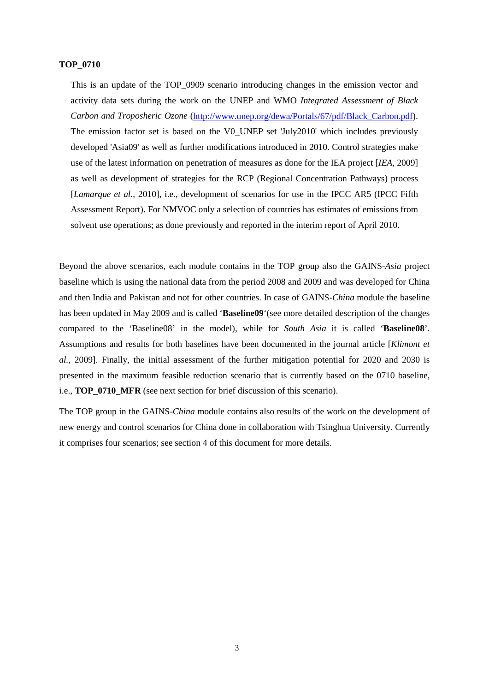#### **TOP\_0710**

This is an update of the TOP\_0909 scenario introducing changes in the emission vector and activity data sets during the work on the UNEP and WMO *Integrated Assessment of Black Carbon and Troposheric Ozone* [\(http://www.unep.org/dewa/Portals/67/pdf/Black\\_Carbon.pdf\)](http://www.unep.org/dewa/Portals/67/pdf/Black_Carbon.pdf). The emission factor set is based on the V0\_UNEP set 'July2010' which includes previously developed 'Asia09' as well as further modifications introduced in 2010. Control strategies make use of the latest information on penetration of measures as done for the IEA project [*IEA*, 2009] as well as development of strategies for the RCP (Regional Concentration Pathways) process [*Lamarque et al.*, 2010], i.e., development of scenarios for use in the IPCC AR5 (IPCC Fifth Assessment Report). For NMVOC only a selection of countries has estimates of emissions from solvent use operations; as done previously and reported in the interim report of April 2010.

Beyond the above scenarios, each module contains in the TOP group also the GAINS-*Asia* project baseline which is using the national data from the period 2008 and 2009 and was developed for China and then India and Pakistan and not for other countries. In case of GAINS-*China* module the baseline has been updated in May 2009 and is called '**Baseline09**'(see more detailed description of the changes compared to the 'Baseline08' in the model), while for *South Asia* it is called '**Baseline08**'. Assumptions and results for both baselines have been documented in the journal article [*Klimont et al.*, 2009]. Finally, the initial assessment of the further mitigation potential for 2020 and 2030 is presented in the maximum feasible reduction scenario that is currently based on the 0710 baseline, i.e., **TOP\_0710\_MFR** (see next section for brief discussion of this scenario).

The TOP group in the GAINS-*China* module contains also results of the work on the development of new energy and control scenarios for China done in collaboration with Tsinghua University. Currently it comprises four scenarios; see section 4 of this document for more details.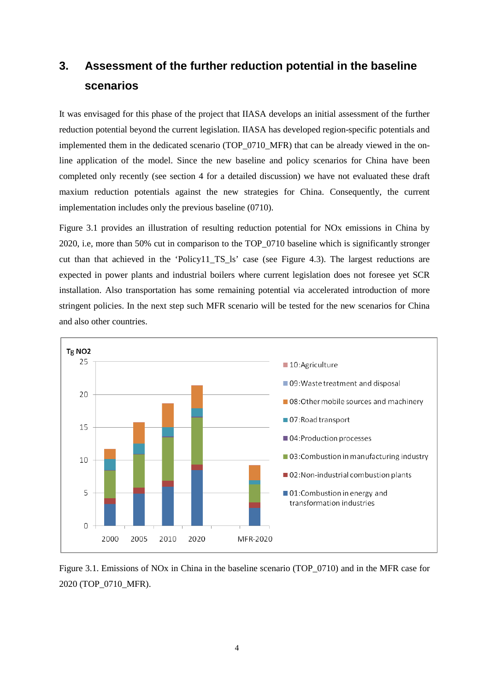## <span id="page-7-0"></span>**3. Assessment of the further reduction potential in the baseline scenarios**

It was envisaged for this phase of the project that IIASA develops an initial assessment of the further reduction potential beyond the current legislation. IIASA has developed region-specific potentials and implemented them in the dedicated scenario (TOP\_0710\_MFR) that can be already viewed in the online application of the model. Since the new baseline and policy scenarios for China have been completed only recently (see section 4 for a detailed discussion) we have not evaluated these draft maxium reduction potentials against the new strategies for China. Consequently, the current implementation includes only the previous baseline (0710).

Figure 3.1 provides an illustration of resulting reduction potential for NOx emissions in China by 2020, i.e, more than 50% cut in comparison to the TOP\_0710 baseline which is significantly stronger cut than that achieved in the 'Policy11\_TS\_ls' case (see Figure 4.3). The largest reductions are expected in power plants and industrial boilers where current legislation does not foresee yet SCR installation. Also transportation has some remaining potential via accelerated introduction of more stringent policies. In the next step such MFR scenario will be tested for the new scenarios for China and also other countries.



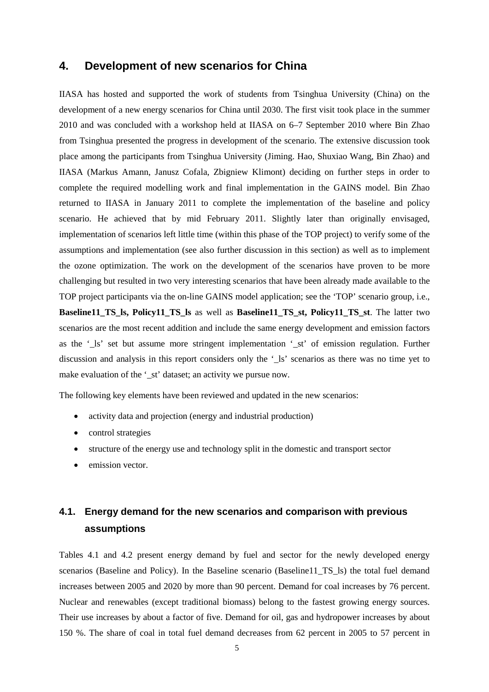#### <span id="page-8-0"></span>**4. Development of new scenarios for China**

IIASA has hosted and supported the work of students from Tsinghua University (China) on the development of a new energy scenarios for China until 2030. The first visit took place in the summer 2010 and was concluded with a workshop held at IIASA on 6–7 September 2010 where Bin Zhao from Tsinghua presented the progress in development of the scenario. The extensive discussion took place among the participants from Tsinghua University (Jiming. Hao, Shuxiao Wang, Bin Zhao) and IIASA (Markus Amann, Janusz Cofala, Zbigniew Klimont) deciding on further steps in order to complete the required modelling work and final implementation in the GAINS model. Bin Zhao returned to IIASA in January 2011 to complete the implementation of the baseline and policy scenario. He achieved that by mid February 2011. Slightly later than originally envisaged, implementation of scenarios left little time (within this phase of the TOP project) to verify some of the assumptions and implementation (see also further discussion in this section) as well as to implement the ozone optimization. The work on the development of the scenarios have proven to be more challenging but resulted in two very interesting scenarios that have been already made available to the TOP project participants via the on-line GAINS model application; see the 'TOP' scenario group, i.e., **Baseline11\_TS\_ls, Policy11\_TS\_ls** as well as **Baseline11\_TS\_st, Policy11\_TS\_st**. The latter two scenarios are the most recent addition and include the same energy development and emission factors as the '\_ls' set but assume more stringent implementation '\_st' of emission regulation. Further discussion and analysis in this report considers only the '\_ls' scenarios as there was no time yet to make evaluation of the '\_st' dataset; an activity we pursue now.

The following key elements have been reviewed and updated in the new scenarios:

- activity data and projection (energy and industrial production)
- control strategies
- structure of the energy use and technology split in the domestic and transport sector
- emission vector.

### <span id="page-8-1"></span>**4.1. Energy demand for the new scenarios and comparison with previous assumptions**

Tables 4.1 and 4.2 present energy demand by fuel and sector for the newly developed energy scenarios (Baseline and Policy). In the Baseline scenario (Baseline11\_TS\_ls) the total fuel demand increases between 2005 and 2020 by more than 90 percent. Demand for coal increases by 76 percent. Nuclear and renewables (except traditional biomass) belong to the fastest growing energy sources. Their use increases by about a factor of five. Demand for oil, gas and hydropower increases by about 150 %. The share of coal in total fuel demand decreases from 62 percent in 2005 to 57 percent in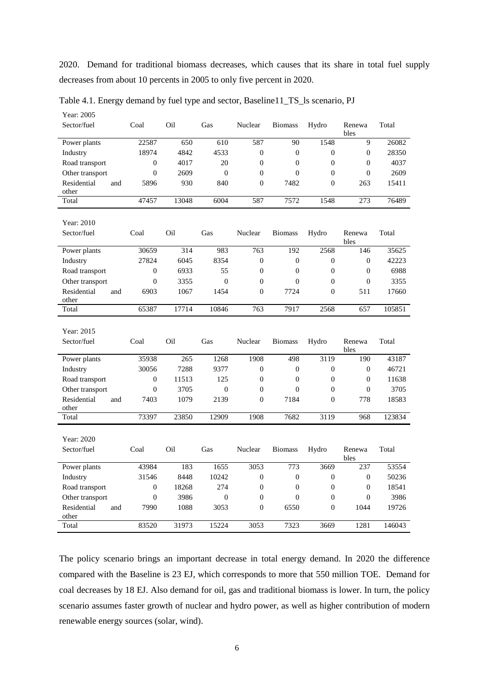2020. Demand for traditional biomass decreases, which causes that its share in total fuel supply decreases from about 10 percents in 2005 to only five percent in 2020.

| Year: 2005                            |                          |              |                          |                                    |                          |                                  |                            |               |
|---------------------------------------|--------------------------|--------------|--------------------------|------------------------------------|--------------------------|----------------------------------|----------------------------|---------------|
| Sector/fuel                           | Coal                     | Oil          | Gas                      | Nuclear                            | <b>Biomass</b>           | Hydro                            | Renewa<br>bles             | Total         |
| Power plants                          | 22587                    | 650          | 610                      | 587                                | 90                       | 1548                             | 9                          | 26082         |
| Industry                              | 18974                    | 4842         | 4533                     | $\boldsymbol{0}$                   | $\boldsymbol{0}$         | $\mathbf{0}$                     | $\overline{0}$             | 28350         |
| Road transport                        | $\boldsymbol{0}$         | 4017         | 20                       | $\overline{0}$                     | $\overline{0}$           | $\boldsymbol{0}$                 | $\overline{0}$             | 4037          |
| Other transport                       | $\boldsymbol{0}$         | 2609         | $\boldsymbol{0}$         | $\overline{0}$                     | $\theta$                 | $\overline{0}$                   | $\theta$                   | 2609          |
| Residential<br>and<br>other           | 5896                     | 930          | 840                      | $\overline{0}$                     | 7482                     | $\mathbf{0}$                     | 263                        | 15411         |
| Total                                 | 47457                    | 13048        | 6004                     | 587                                | 7572                     | 1548                             | $\overline{273}$           | 76489         |
| Year: 2010                            |                          |              |                          |                                    |                          |                                  |                            |               |
| Sector/fuel                           | Coal                     | Oil          | Gas                      | Nuclear                            | <b>Biomass</b>           | Hydro                            | Renewa<br>bles             | Total         |
| Power plants                          | 30659                    | 314          | 983                      | 763                                | 192                      | 2568                             | 146                        | 35625         |
| Industry                              | 27824                    | 6045         | 8354                     | $\theta$                           | $\boldsymbol{0}$         | $\mathbf{0}$                     | $\mathbf{0}$               | 42223         |
| Road transport                        | $\boldsymbol{0}$         | 6933         | 55                       | $\overline{0}$                     | $\boldsymbol{0}$         | $\boldsymbol{0}$                 | $\mathbf{0}$               | 6988          |
| Other transport                       | $\mathbf{0}$             | 3355         | $\mathbf{0}$             | $\overline{0}$                     | $\theta$                 | $\mathbf{0}$                     | $\overline{0}$             | 3355          |
| Residential<br>and<br>other           | 6903                     | 1067         | 1454                     | $\overline{0}$                     | 7724                     | $\overline{0}$                   | 511                        | 17660         |
| Total                                 | 65387                    | 17714        | 10846                    | 763                                | 7917                     | 2568                             | 657                        | 105851        |
| Year: 2015                            |                          |              |                          |                                    |                          |                                  |                            |               |
| Sector/fuel                           | Coal                     | Oil          | Gas                      | Nuclear                            | <b>Biomass</b>           | Hydro                            | Renewa<br>bles             | Total         |
| Power plants                          |                          |              |                          |                                    |                          |                                  |                            |               |
|                                       | 35938                    | 265          | 1268                     | 1908                               | 498                      | 3119                             | 190                        | 43187         |
| Industry                              | 30056                    | 7288         | 9377                     | $\overline{0}$                     | $\overline{0}$           | $\overline{0}$                   | $\theta$                   | 46721         |
| Road transport                        | $\boldsymbol{0}$         | 11513        | 125                      | $\overline{0}$                     | $\overline{0}$           | $\mathbf{0}$                     | $\overline{0}$             | 11638         |
| Other transport                       | $\overline{0}$           | 3705         | $\mathbf{0}$             | $\overline{0}$                     | $\overline{0}$           | $\mathbf{0}$                     | $\mathbf{0}$               | 3705          |
| Residential<br>and<br>other           | 7403                     | 1079         | 2139                     | $\Omega$                           | 7184                     | $\Omega$                         | 778                        | 18583         |
| Total                                 | 73397                    | 23850        | 12909                    | 1908                               | 7682                     | 3119                             | 968                        | 123834        |
|                                       |                          |              |                          |                                    |                          |                                  |                            |               |
| Year: 2020<br>Sector/fuel             | Coal                     | Oil          | Gas                      | Nuclear                            | <b>Biomass</b>           | Hydro                            | Renewa                     | Total         |
|                                       |                          |              |                          |                                    |                          |                                  | bles                       |               |
| Power plants                          | 43984                    | 183          | 1655                     | 3053                               | 773                      | 3669                             | 237                        | 53554         |
| Industry                              | 31546                    | 8448         | 10242                    | $\boldsymbol{0}$                   | $\boldsymbol{0}$         | $\boldsymbol{0}$                 | $\overline{0}$             | 50236         |
| Road transport                        | $\boldsymbol{0}$         | 18268        | 274                      | $\overline{0}$                     | $\overline{0}$           | $\overline{0}$                   | $\overline{0}$<br>$\theta$ | 18541         |
| Other transport<br>Residential<br>and | $\boldsymbol{0}$<br>7990 | 3986<br>1088 | $\boldsymbol{0}$<br>3053 | $\boldsymbol{0}$<br>$\overline{0}$ | $\boldsymbol{0}$<br>6550 | $\boldsymbol{0}$<br>$\mathbf{0}$ | 1044                       | 3986<br>19726 |
| other                                 |                          |              |                          |                                    |                          |                                  |                            |               |

Table 4.1. Energy demand by fuel type and sector, Baseline11\_TS\_ls scenario, PJ

The policy scenario brings an important decrease in total energy demand. In 2020 the difference compared with the Baseline is 23 EJ, which corresponds to more that 550 million TOE. Demand for coal decreases by 18 EJ. Also demand for oil, gas and traditional biomass is lower. In turn, the policy scenario assumes faster growth of nuclear and hydro power, as well as higher contribution of modern renewable energy sources (solar, wind).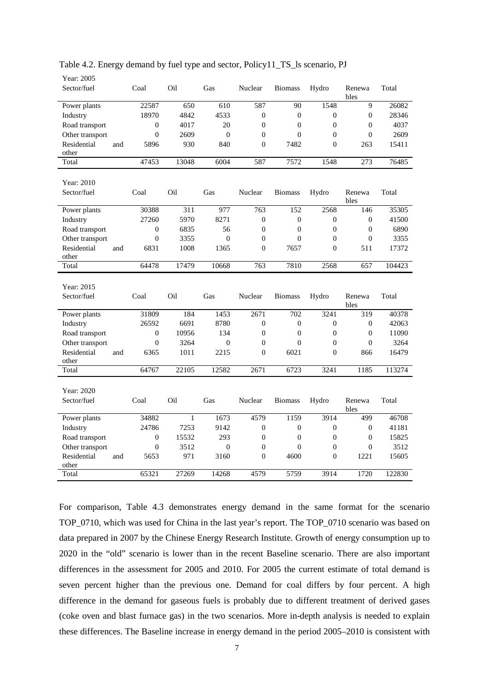| Year: 2005                  |                  |              |              |                  |                  |                  |                  |        |
|-----------------------------|------------------|--------------|--------------|------------------|------------------|------------------|------------------|--------|
| Sector/fuel                 | Coal             | Oil          | Gas          | Nuclear          | <b>Biomass</b>   | Hydro            | Renewa           | Total  |
|                             |                  |              |              |                  |                  |                  | bles             |        |
| Power plants                | 22587            | 650          | 610          | 587              | 90               | 1548             | 9                | 26082  |
| Industry                    | 18970            | 4842         | 4533         | $\theta$         | $\overline{0}$   | $\theta$         | $\mathbf{0}$     | 28346  |
| Road transport              | 0                | 4017         | 20           | $\theta$         | $\Omega$         | $\Omega$         | $\theta$         | 4037   |
| Other transport             | $\mathbf{0}$     | 2609         | $\mathbf{0}$ | $\mathbf{0}$     | $\overline{0}$   | $\mathbf{0}$     | $\overline{0}$   | 2609   |
| Residential<br>and          | 5896             | 930          | 840          | $\overline{0}$   | 7482             | $\overline{0}$   | 263              | 15411  |
| other                       |                  |              |              |                  |                  |                  |                  |        |
| Total                       | 47453            | 13048        | 6004         | 587              | 7572             | 1548             | 273              | 76485  |
|                             |                  |              |              |                  |                  |                  |                  |        |
| Year: 2010                  |                  |              |              |                  |                  |                  |                  |        |
| Sector/fuel                 | Coal             | Oil          | Gas          | Nuclear          | <b>Biomass</b>   | Hydro            | Renewa           | Total  |
|                             |                  |              |              |                  |                  |                  | bles             |        |
| Power plants                | 30388            | 311          | 977          | 763              | 152              | 2568             | 146              | 35305  |
| Industry                    | 27260            | 5970         | 8271         | $\boldsymbol{0}$ | $\overline{0}$   | $\boldsymbol{0}$ | $\boldsymbol{0}$ | 41500  |
| Road transport              | $\mathbf{0}$     | 6835         | 56           | $\mathbf{0}$     | $\overline{0}$   | $\boldsymbol{0}$ | $\mathbf{0}$     | 6890   |
| Other transport             | $\mathbf{0}$     | 3355         | $\mathbf{0}$ | $\overline{0}$   | $\overline{0}$   | $\mathbf{0}$     | $\overline{0}$   | 3355   |
| Residential<br>and          | 6831             | 1008         | 1365         | $\overline{0}$   | 7657             | $\mathbf{0}$     | 511              | 17372  |
| other                       |                  |              |              |                  |                  |                  |                  |        |
| Total                       | 64478            | 17479        | 10668        | 763              | 7810             | 2568             | 657              | 104423 |
|                             |                  |              |              |                  |                  |                  |                  |        |
|                             |                  |              |              |                  |                  |                  |                  |        |
| Year: 2015                  |                  |              |              |                  |                  |                  |                  |        |
| Sector/fuel                 | Coal             | Oil          | Gas          | Nuclear          | <b>Biomass</b>   | Hydro            | Renewa           | Total  |
|                             |                  |              |              |                  |                  |                  | bles             |        |
| Power plants                | 31809            | 184          | 1453         | 2671             | 702              | 3241             | 319              | 40378  |
| Industry                    | 26592            | 6691         | 8780         | $\overline{0}$   | $\overline{0}$   | $\boldsymbol{0}$ | $\mathbf{0}$     | 42063  |
| Road transport              | $\boldsymbol{0}$ | 10956        | 134          | $\mathbf{0}$     | $\boldsymbol{0}$ | $\boldsymbol{0}$ | $\boldsymbol{0}$ | 11090  |
| Other transport             | $\overline{0}$   | 3264         | $\mathbf{0}$ | $\overline{0}$   | $\Omega$         | $\mathbf{0}$     | $\overline{0}$   | 3264   |
| Residential<br>and<br>other | 6365             | 1011         | 2215         | $\overline{0}$   | 6021             | $\mathbf{0}$     | 866              | 16479  |
| Total                       | 64767            | 22105        | 12582        | 2671             | 6723             | 3241             | 1185             | 113274 |
|                             |                  |              |              |                  |                  |                  |                  |        |
| Year: 2020                  |                  |              |              |                  |                  |                  |                  |        |
| Sector/fuel                 | Coal             | Oil          | Gas          | Nuclear          | <b>Biomass</b>   | Hydro            | Renewa           | Total  |
|                             |                  |              |              |                  |                  |                  | bles             |        |
| Power plants                | 34882            | $\mathbf{1}$ | 1673         | 4579             | 1159             | 3914             | 499              | 46708  |
| Industry                    | 24786            | 7253         | 9142         | $\mathbf{0}$     | $\overline{0}$   | $\mathbf{0}$     | $\mathbf{0}$     | 41181  |
| Road transport              | 0                | 15532        | 293          | $\mathbf{0}$     | $\overline{0}$   | $\mathbf{0}$     | $\overline{0}$   | 15825  |
| Other transport             | $\overline{0}$   | 3512         | $\theta$     | $\overline{0}$   | $\Omega$         | $\mathbf{0}$     | $\overline{0}$   | 3512   |
| Residential<br>and          | 5653             | 971          | 3160         | $\theta$         | 4600             | $\theta$         | 1221             | 15605  |
| other<br>Total              | 65321            | 27269        | 14268        | 4579             | 5759             | 3914             | 1720             | 122830 |

Table 4.2. Energy demand by fuel type and sector, Policy11\_TS\_ls scenario, PJ

For comparison, Table 4.3 demonstrates energy demand in the same format for the scenario TOP\_0710, which was used for China in the last year's report. The TOP\_0710 scenario was based on data prepared in 2007 by the Chinese Energy Research Institute. Growth of energy consumption up to 2020 in the "old" scenario is lower than in the recent Baseline scenario. There are also important differences in the assessment for 2005 and 2010. For 2005 the current estimate of total demand is seven percent higher than the previous one. Demand for coal differs by four percent. A high difference in the demand for gaseous fuels is probably due to different treatment of derived gases (coke oven and blast furnace gas) in the two scenarios. More in-depth analysis is needed to explain these differences. The Baseline increase in energy demand in the period 2005–2010 is consistent with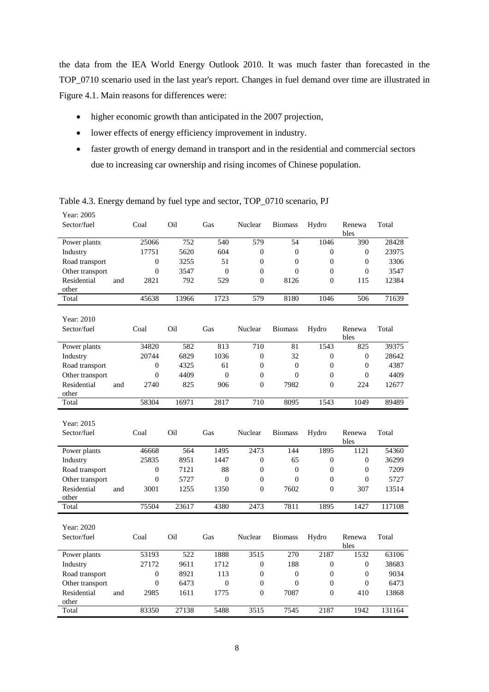the data from the IEA World Energy Outlook 2010. It was much faster than forecasted in the TOP\_0710 scenario used in the last year's report. Changes in fuel demand over time are illustrated in Figure 4.1. Main reasons for differences were:

- higher economic growth than anticipated in the 2007 projection,
- lower effects of energy efficiency improvement in industry.
- faster growth of energy demand in transport and in the residential and commercial sectors due to increasing car ownership and rising incomes of Chinese population.

| Year: 2005         |                  |       |                |                  |                  |                  |                  |        |
|--------------------|------------------|-------|----------------|------------------|------------------|------------------|------------------|--------|
| Sector/fuel        | Coal             | Oil   | Gas            | Nuclear          | <b>Biomass</b>   | Hydro            | Renewa           | Total  |
|                    |                  |       |                |                  |                  |                  | bles             |        |
| Power plants       | 25066            | 752   | 540            | 579              | 54               | 1046             | 390              | 28428  |
| Industry           | 17751            | 5620  | 604            | $\boldsymbol{0}$ | $\boldsymbol{0}$ | $\overline{0}$   | $\boldsymbol{0}$ | 23975  |
| Road transport     | $\boldsymbol{0}$ | 3255  | 51             | $\overline{0}$   | $\mathbf{0}$     | $\overline{0}$   | $\overline{0}$   | 3306   |
| Other transport    | $\boldsymbol{0}$ | 3547  | $\overline{0}$ | $\overline{0}$   | $\mathbf{0}$     | $\mathbf{0}$     | $\mathbf{0}$     | 3547   |
| Residential<br>and | 2821             | 792   | 529            | $\theta$         | 8126             | $\mathbf{0}$     | 115              | 12384  |
| other              |                  |       |                |                  |                  |                  |                  |        |
| Total              | 45638            | 13966 | 1723           | 579              | 8180             | 1046             | 506              | 71639  |
| Year: 2010         |                  |       |                |                  |                  |                  |                  |        |
| Sector/fuel        | Coal             | Oil   | Gas            | Nuclear          |                  |                  |                  |        |
|                    |                  |       |                |                  | <b>Biomass</b>   | Hydro            | Renewa<br>bles   | Total  |
| Power plants       | 34820            | 582   | 813            | 710              | 81               | 1543             | 825              | 39375  |
| Industry           | 20744            | 6829  | 1036           | $\boldsymbol{0}$ | 32               | 0                | $\boldsymbol{0}$ | 28642  |
| Road transport     | $\boldsymbol{0}$ | 4325  | 61             | $\boldsymbol{0}$ | $\boldsymbol{0}$ | $\boldsymbol{0}$ | $\boldsymbol{0}$ | 4387   |
| Other transport    | $\boldsymbol{0}$ | 4409  | $\mathbf{0}$   | $\boldsymbol{0}$ | $\boldsymbol{0}$ | $\boldsymbol{0}$ | $\boldsymbol{0}$ | 4409   |
| Residential<br>and | 2740             | 825   | 906            | $\theta$         | 7982             | $\mathbf{0}$     | 224              | 12677  |
| other              |                  |       |                |                  |                  |                  |                  |        |
| Total              | 58304            | 16971 | 2817           | 710              | 8095             | 1543             | 1049             | 89489  |
|                    |                  |       |                |                  |                  |                  |                  |        |
|                    |                  |       |                |                  |                  |                  |                  |        |
| Year: 2015         |                  |       |                |                  |                  |                  |                  |        |
| Sector/fuel        | Coal             | Oil   | Gas            | Nuclear          | <b>Biomass</b>   | Hydro            | Renewa<br>bles   | Total  |
| Power plants       | 46668            | 564   | 1495           | 2473             | 144              | 1895             | 1121             | 54360  |
| Industry           | 25835            | 8951  | 1447           | $\mathbf{0}$     | 65               | $\boldsymbol{0}$ | $\mathbf{0}$     | 36299  |
| Road transport     | $\boldsymbol{0}$ | 7121  | 88             | $\boldsymbol{0}$ | $\boldsymbol{0}$ | $\boldsymbol{0}$ | $\boldsymbol{0}$ | 7209   |
| Other transport    | $\overline{0}$   | 5727  | $\overline{0}$ | $\overline{0}$   | $\mathbf{0}$     | $\mathbf{0}$     | $\theta$         | 5727   |
| Residential<br>and | 3001             | 1255  | 1350           | $\theta$         | 7602             | $\mathbf{0}$     | 307              | 13514  |
| other              |                  |       |                |                  |                  |                  |                  |        |
| Total              | 75504            | 23617 | 4380           | 2473             | 7811             | 1895             | 1427             | 117108 |
|                    |                  |       |                |                  |                  |                  |                  |        |
| Year: 2020         |                  |       |                |                  |                  |                  |                  |        |
| Sector/fuel        | Coal             | Oil   | Gas            | Nuclear          | <b>Biomass</b>   | Hydro            | Renewa<br>bles   | Total  |
| Power plants       | 53193            | 522   | 1888           | 3515             | 270              | 2187             | 1532             | 63106  |
| Industry           | 27172            | 9611  | 1712           | $\mathbf{0}$     | 188              | $\overline{0}$   | $\mathbf{0}$     | 38683  |
| Road transport     | $\mathbf{0}$     | 8921  | 113            | $\theta$         | $\overline{0}$   | $\overline{0}$   | $\mathbf{0}$     | 9034   |
| Other transport    | $\boldsymbol{0}$ | 6473  | $\mathbf{0}$   | $\overline{0}$   | $\boldsymbol{0}$ | $\boldsymbol{0}$ | $\boldsymbol{0}$ | 6473   |
| Residential<br>and | 2985             | 1611  | 1775           | $\theta$         | 7087             | $\mathbf{0}$     | 410              | 13868  |
| other              | 83350            | 27138 | 5488           | 3515             | 7545             | 2187             | 1942             | 131164 |

Table 4.3. Energy demand by fuel type and sector, TOP\_0710 scenario, PJ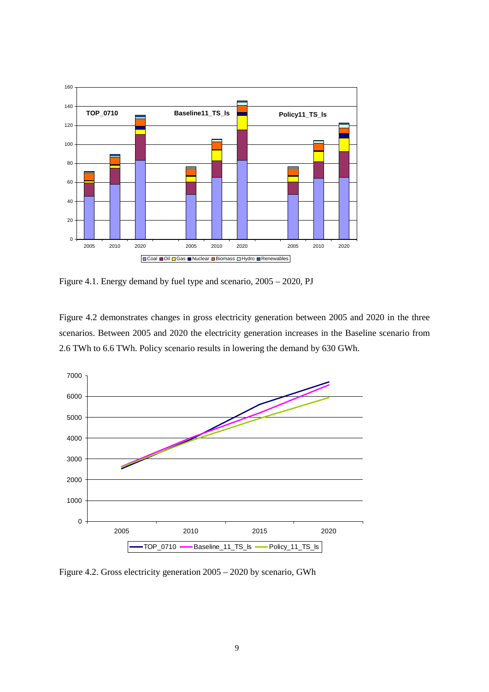

Figure 4.1. Energy demand by fuel type and scenario, 2005 – 2020, PJ

Figure 4.2 demonstrates changes in gross electricity generation between 2005 and 2020 in the three scenarios. Between 2005 and 2020 the electricity generation increases in the Baseline scenario from 2.6 TWh to 6.6 TWh. Policy scenario results in lowering the demand by 630 GWh.



Figure 4.2. Gross electricity generation 2005 – 2020 by scenario, GWh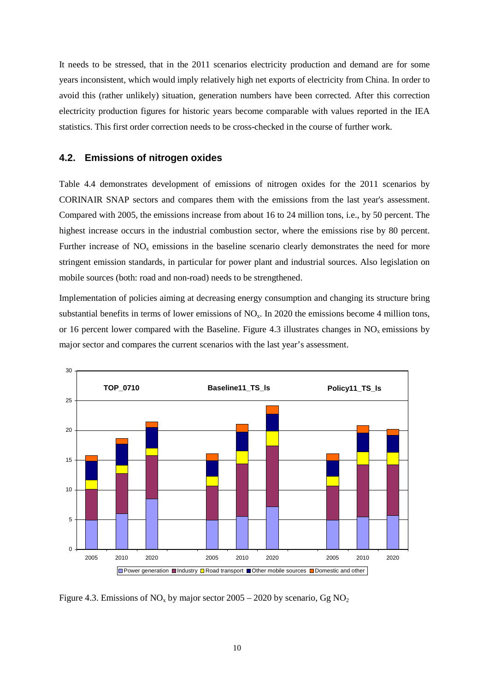It needs to be stressed, that in the 2011 scenarios electricity production and demand are for some years inconsistent, which would imply relatively high net exports of electricity from China. In order to avoid this (rather unlikely) situation, generation numbers have been corrected. After this correction electricity production figures for historic years become comparable with values reported in the IEA statistics. This first order correction needs to be cross-checked in the course of further work.

#### <span id="page-13-0"></span>**4.2. Emissions of nitrogen oxides**

Table 4.4 demonstrates development of emissions of nitrogen oxides for the 2011 scenarios by CORINAIR SNAP sectors and compares them with the emissions from the last year's assessment. Compared with 2005, the emissions increase from about 16 to 24 million tons, i.e., by 50 percent. The highest increase occurs in the industrial combustion sector, where the emissions rise by 80 percent. Further increase of  $NO<sub>x</sub>$  emissions in the baseline scenario clearly demonstrates the need for more stringent emission standards, in particular for power plant and industrial sources. Also legislation on mobile sources (both: road and non-road) needs to be strengthened.

Implementation of policies aiming at decreasing energy consumption and changing its structure bring substantial benefits in terms of lower emissions of  $NO<sub>x</sub>$ . In 2020 the emissions become 4 million tons, or 16 percent lower compared with the Baseline. Figure 4.3 illustrates changes in  $NO<sub>x</sub>$  emissions by major sector and compares the current scenarios with the last year's assessment.



Figure 4.3. Emissions of  $NO_x$  by major sector 2005 – 2020 by scenario, Gg  $NO_2$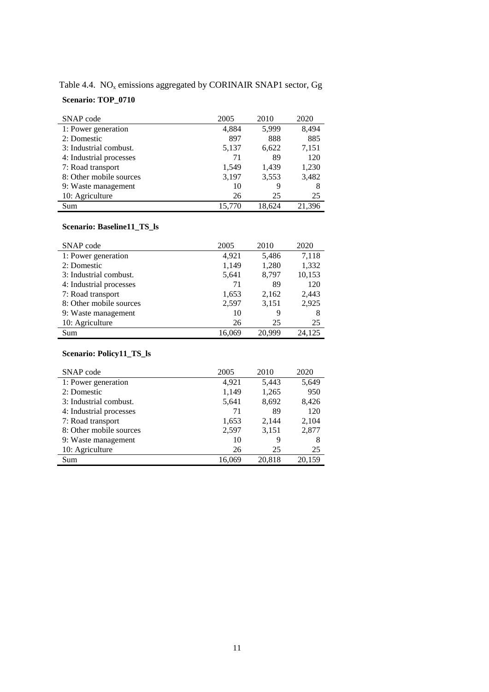| Table 4.4. $\rm NO_x$ emissions aggregated by CORINAIR SNAP1 sector, Gg |  |
|-------------------------------------------------------------------------|--|
|-------------------------------------------------------------------------|--|

### **Scenario: TOP\_0710**

| SNAP code               | 2005   | 2010   | 2020   |
|-------------------------|--------|--------|--------|
| 1: Power generation     | 4,884  | 5,999  | 8,494  |
| 2: Domestic             | 897    | 888    | 885    |
| 3: Industrial combust.  | 5,137  | 6,622  | 7,151  |
| 4: Industrial processes | 71     | 89     | 120    |
| 7: Road transport       | 1,549  | 1,439  | 1,230  |
| 8: Other mobile sources | 3,197  | 3,553  | 3,482  |
| 9: Waste management     | 10     | 9      | 8      |
| 10: Agriculture         | 26     | 25     | 25     |
| Sum                     | 15.770 | 18.624 | 21.396 |

#### **Scenario: Baseline11\_TS\_ls**

| SNAP code               | 2005   | 2010   | 2020   |
|-------------------------|--------|--------|--------|
| 1: Power generation     | 4.921  | 5,486  | 7,118  |
| 2: Domestic             | 1,149  | 1,280  | 1,332  |
| 3: Industrial combust.  | 5,641  | 8,797  | 10,153 |
| 4: Industrial processes | 71     | 89     | 120    |
| 7: Road transport       | 1,653  | 2,162  | 2,443  |
| 8: Other mobile sources | 2,597  | 3,151  | 2,925  |
| 9: Waste management     | 10     | 9      | 8      |
| 10: Agriculture         | 26     | 25     | 25     |
| Sum                     | 16.069 | 20.999 | 24,125 |

#### **Scenario: Policy11\_TS\_ls**

| SNAP code               | 2005   | 2010   | 2020   |
|-------------------------|--------|--------|--------|
| 1: Power generation     | 4,921  | 5,443  | 5,649  |
| 2: Domestic             | 1,149  | 1,265  | 950    |
| 3: Industrial combust.  | 5,641  | 8,692  | 8,426  |
| 4: Industrial processes | 71     | 89     | 120    |
| 7: Road transport       | 1,653  | 2,144  | 2,104  |
| 8: Other mobile sources | 2,597  | 3,151  | 2,877  |
| 9: Waste management     | 10     | 9      | 8      |
| 10: Agriculture         | 26     | 25     | 25     |
| Sum                     | 16.069 | 20.818 | 20.159 |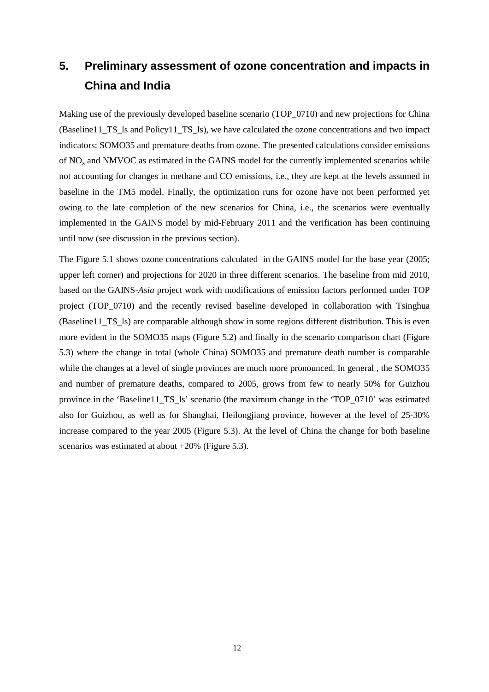# <span id="page-15-0"></span>**5. Preliminary assessment of ozone concentration and impacts in China and India**

Making use of the previously developed baseline scenario (TOP\_0710) and new projections for China (Baseline11\_TS\_ls and Policy11\_TS\_ls), we have calculated the ozone concentrations and two impact indicators: SOMO35 and premature deaths from ozone. The presented calculations consider emissions of NOx and NMVOC as estimated in the GAINS model for the currently implemented scenarios while not accounting for changes in methane and CO emissions, i.e., they are kept at the levels assumed in baseline in the TM5 model. Finally, the optimization runs for ozone have not been performed yet owing to the late completion of the new scenarios for China, i.e., the scenarios were eventually implemented in the GAINS model by mid-February 2011 and the verification has been continuing until now (see discussion in the previous section).

The Figure 5.1 shows ozone concentrations calculated in the GAINS model for the base year (2005; upper left corner) and projections for 2020 in three different scenarios. The baseline from mid 2010, based on the GAINS-*Asia* project work with modifications of emission factors performed under TOP project (TOP\_0710) and the recently revised baseline developed in collaboration with Tsinghua (Baseline11\_TS\_ls) are comparable although show in some regions different distribution. This is even more evident in the SOMO35 maps (Figure 5.2) and finally in the scenario comparison chart (Figure 5.3) where the change in total (whole China) SOMO35 and premature death number is comparable while the changes at a level of single provinces are much more pronounced. In general , the SOMO35 and number of premature deaths, compared to 2005, grows from few to nearly 50% for Guizhou province in the 'Baseline11\_TS\_ls' scenario (the maximum change in the 'TOP\_0710' was estimated also for Guizhou, as well as for Shanghai, Heilongjiang province, however at the level of 25-30% increase compared to the year 2005 (Figure 5.3). At the level of China the change for both baseline scenarios was estimated at about +20% (Figure 5.3).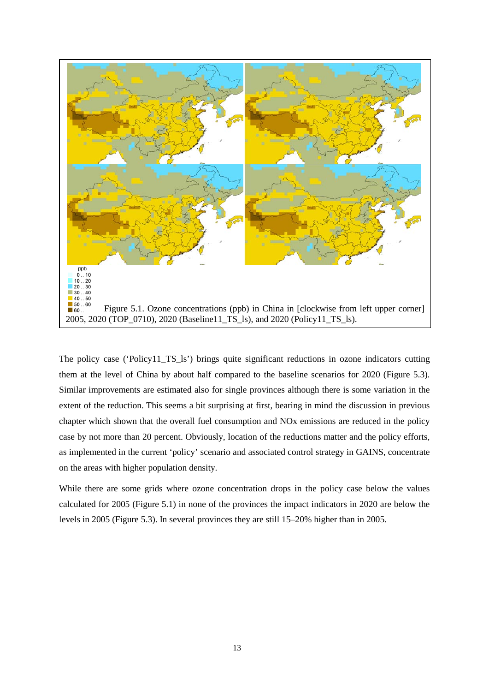

The policy case ('Policy11\_TS\_ls') brings quite significant reductions in ozone indicators cutting them at the level of China by about half compared to the baseline scenarios for 2020 (Figure 5.3). Similar improvements are estimated also for single provinces although there is some variation in the extent of the reduction. This seems a bit surprising at first, bearing in mind the discussion in previous chapter which shown that the overall fuel consumption and NOx emissions are reduced in the policy case by not more than 20 percent. Obviously, location of the reductions matter and the policy efforts, as implemented in the current 'policy' scenario and associated control strategy in GAINS, concentrate on the areas with higher population density.

While there are some grids where ozone concentration drops in the policy case below the values calculated for 2005 (Figure 5.1) in none of the provinces the impact indicators in 2020 are below the levels in 2005 (Figure 5.3). In several provinces they are still 15–20% higher than in 2005.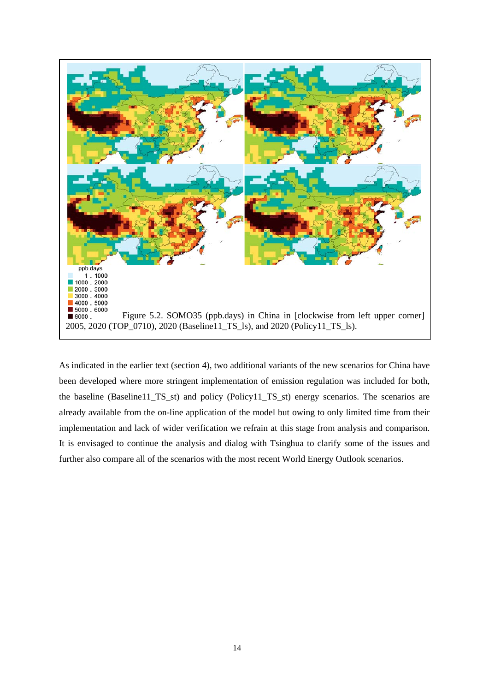

As indicated in the earlier text (section 4), two additional variants of the new scenarios for China have been developed where more stringent implementation of emission regulation was included for both, the baseline (Baseline11\_TS\_st) and policy (Policy11\_TS\_st) energy scenarios. The scenarios are already available from the on-line application of the model but owing to only limited time from their implementation and lack of wider verification we refrain at this stage from analysis and comparison. It is envisaged to continue the analysis and dialog with Tsinghua to clarify some of the issues and further also compare all of the scenarios with the most recent World Energy Outlook scenarios.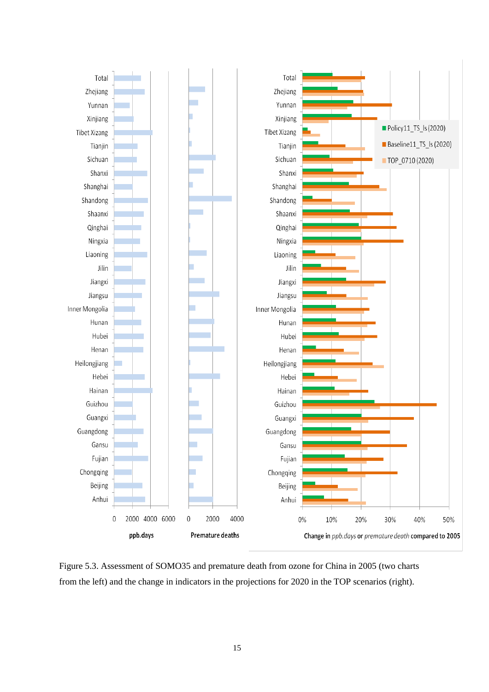

Figure 5.3. Assessment of SOMO35 and premature death from ozone for China in 2005 (two charts from the left) and the change in indicators in the projections for 2020 in the TOP scenarios (right).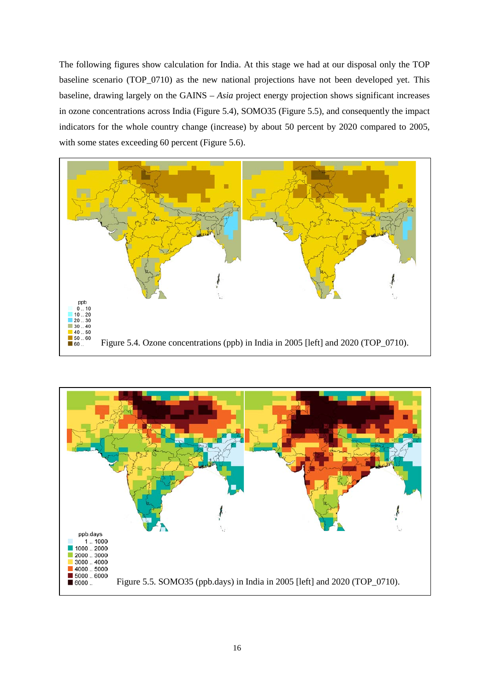The following figures show calculation for India. At this stage we had at our disposal only the TOP baseline scenario (TOP\_0710) as the new national projections have not been developed yet. This baseline, drawing largely on the GAINS – *Asia* project energy projection shows significant increases in ozone concentrations across India (Figure 5.4), SOMO35 (Figure 5.5), and consequently the impact indicators for the whole country change (increase) by about 50 percent by 2020 compared to 2005, with some states exceeding 60 percent (Figure 5.6).



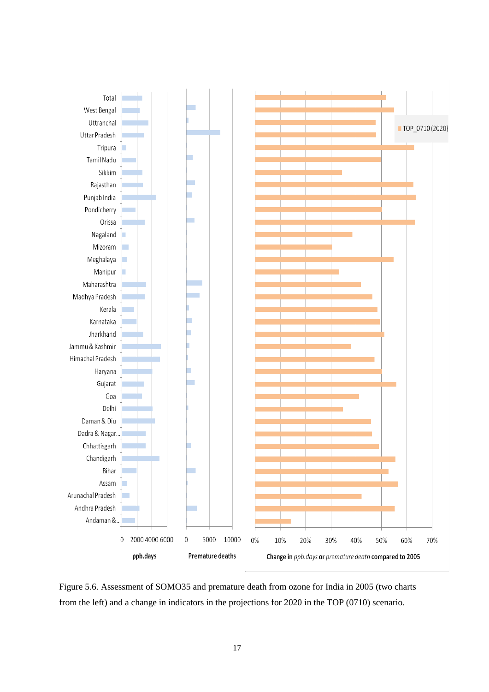

Figure 5.6. Assessment of SOMO35 and premature death from ozone for India in 2005 (two charts from the left) and a change in indicators in the projections for 2020 in the TOP (0710) scenario.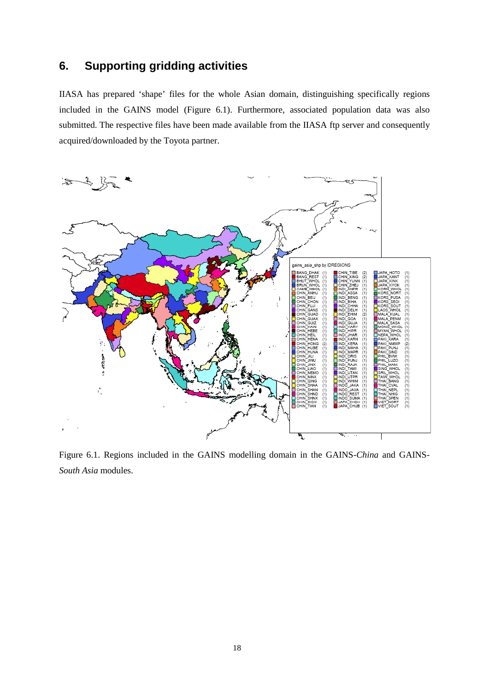### <span id="page-21-0"></span>**6. Supporting gridding activities**

IIASA has prepared 'shape' files for the whole Asian domain, distinguishing specifically regions included in the GAINS model (Figure 6.1). Furthermore, associated population data was also submitted. The respective files have been made available from the IIASA ftp server and consequently acquired/downloaded by the Toyota partner.



Figure 6.1. Regions included in the GAINS modelling domain in the GAINS-*China* and GAINS-*South Asia* modules.